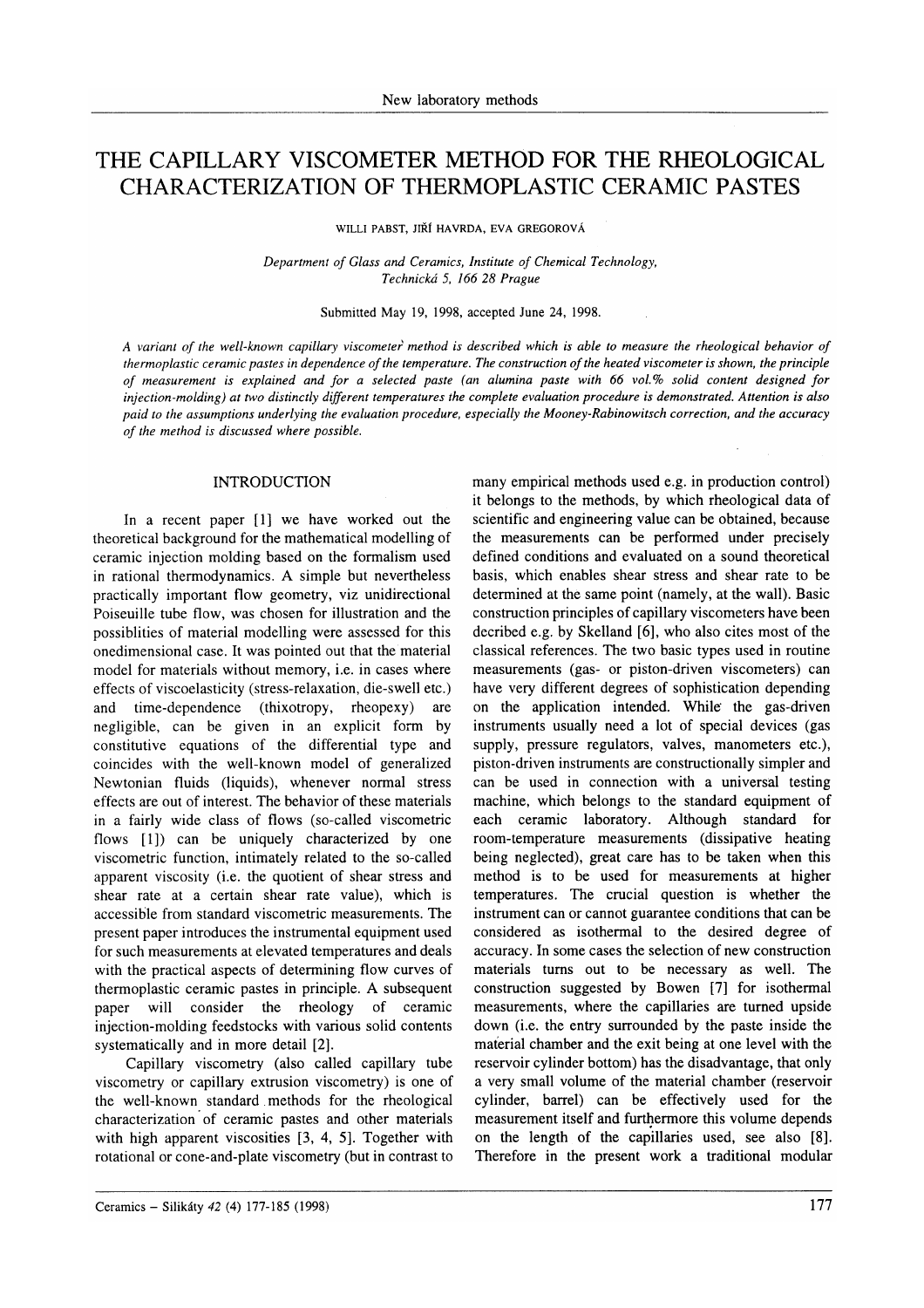# THE CAPILLARY VISCOMETER METHOD FOR THE RHEOLOGICAL CHARACTERIZATION OF THERMOPLASTIC CERAMIC PASTES

WILLI PABST. JIŘÍ HAVRDA. EVA GREGOROVÁ

Department of Glass and Ceramics, Institute of Chemical Technology, Technická 5, 166 28 Prague

### Submitted May 19, 1998, accepted June 24, 1998.

A variant of the well-known capillary viscometer method is described which is able to measure the rheological behavior of thermoplastic ceramic pastes in dependence of the temperature. The construction of the heated viscometer is shown, the principle of measurement is explained and for a selected paste (an alumina paste with 66 vol.Vo solid content designed for injection-molding) at two distinctly different temperatures the complete evaluation procedure is demonstrated. Attention is also paid to the assumptions underlying the evaluation procedure, especially the Mooney-Rabinowitsch correction, and the accuracy of the method is discussed where possible.

#### INTRODUCTION

In a recent paper  $[1]$  we have worked out the theoretical background for the mathematical modelling of ceramic injection molding based on the formalism used in rational thermodynamics. A simple but nevertheless practically important flow geometry, viz unidirectional Poiseuille tube flow, was chosen for illustration and the possiblities of material modelling were assessed for this onedimensional case. It was pointed out that the material model for materials without memory, i.e. in cases where effects of viscoelasticity (stress-relaxation, die-swell etc.) and time-dependence (thixotropy, rheopexy) are negligible, can be given in an explicit form by constitutive equations of the differential type and coincides with the well-known model of generalized Newtonian fluids (liquids), whenever normal stress effects are out of interest. The behavior of these materials in a fairly wide class of flows (so-called viscometric flows [1]) can be uniquely characterized by one viscometric function, intimately related to the so-called apparent viscosity (i.e. the quotient of shear stress and shear rate at a certain shear rate value), which is accessible from standard viscometric measurements. The present paper introduces the instrumental equipment used for such measurements at elevated temperatures and deals with the practical aspects of determining flow curves of thermoplastic ceramic pastes in principle. A subsequent paper will consider the rheology of ceramic injection-molding feedstocks with various solid contents systematically and in more detail [2].

Capillary viscometry (also called capillary tube viscometry or capillary extrusion viscometry) is one of the well-known standard . methods for the rheological characterization of ceramic pastes and other materials with high apparent viscosities [3, 4, 5]. Together with rotational or cone-and-plate viscometry (but in contrast to many empirical methods used e.g. in production control) it belongs to the methods, by which rheological data of scientific and engineering value can be obtained, because the measurements can be performed under precisely defined conditions and evaluated on a sound theoretical basis. which enables shear stress and shear rate to be determined at the same point (namely, at the wall). Basic construction principles of capillary viscometers have been decribed e.g. by Skelland [6], who also cites most of the classical references. The two basic types used in routine measurements (gas- or piston-driven viscometers) can have very different degrees of sophistication depending on the application intended. While the gas-driven instruments usually need a lot of special devices (gas supply, pressure regulators, valves, manometers etc.), piston-driven instruments are constructionally simpler and can be used in connection with a universal testing machine, which belongs to the standard equipment of each ceramic laboratory. Although standard for room-temperature measurements (dissipative heating being neglected), great care has to be taken when this method is to be used for measurements at higher temperatures. The crucial question is whether the instrument can or cannot guarantee conditions that can be considered as isothermal to the desired degree of accuracy. In some cases the selection of new construction materials turns out to be necessary as well. The construction suggested by Bowen  $[7]$  for isothermal measurements, where the capillaries are turned upside down (i.e. the entry surrounded by the paste inside the maťerial chamber and the exit being at one level with the reservoir cylinder bottom) has the disadvantage, that only a very small volume of the material chamber (reservoir cylinder, barrel) can be effectively used for the measurement itself and furthermore this volume depends on the length of the capillaries used, see also [8]. Therefore in the present work a traditional modular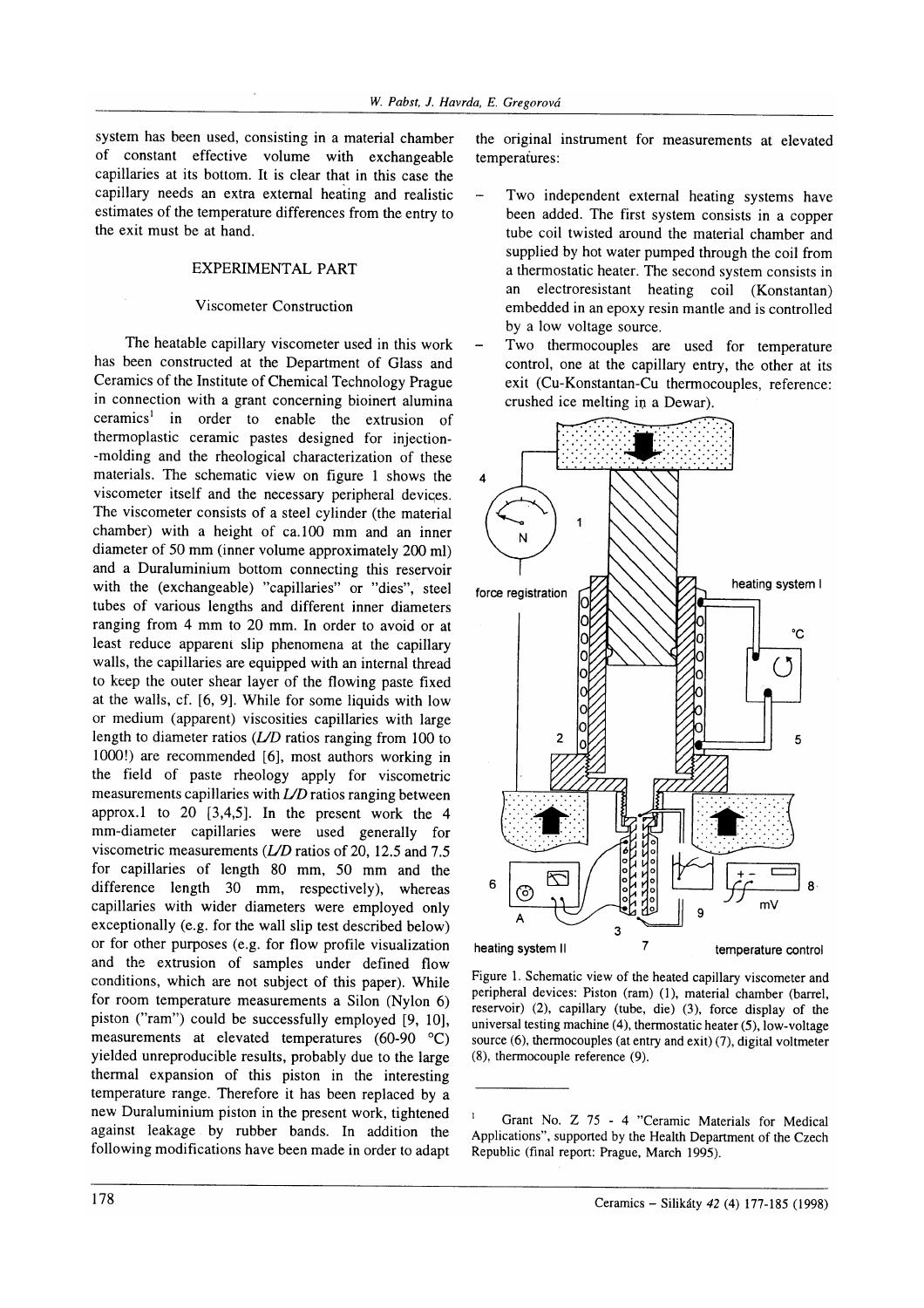system has been used, consisting in a material chamber of constant effective volume with exchangeable capillaries at its bottom. It is clear that in this case the capillary needs an extra external heaiing and realistic estimates of the temperature differences from the entry to the exit must be at hand.

# EXPERIMENTAL PART

#### Viscometer Construction

The heatable capillary viscometer used in this work has been constructed at the Department of Glass and Ceramics of the Institute of Chemical Technology Prague in connection with a grant concerning bioinert alumina ceramics<sup>1</sup> in order to enable the extrusion of thermoplastic ceramic pastes designed for injection- -molding and the rheological characterization of these materials. The schematic view on figure I shows the viscometer itself and the necessary peripheral devices. The viscometer consists of a steel cylinder (the material chamber) with a height of ca.100 mm and an inner diameter of 50 mm (inner volume approximately 200 ml) and a Duraluminium bottom connecting this reservoir with the (exchangeable) "capillaries" or "dies", steel tubes of various lengths and different inner diameters ranging from 4 mm to 20 mm. In order to avoid or at least reduce apparent slip phenomena at the capillary walls, the capillaries are equipped with an internal thread to keep the outer shear layer of the flowing paste fixed at the walls, cf. [6, 9]. While for some liquids with low or medium (apparent) viscosities capillaries with large length to diameter ratios (UD ratios ranging from 100 to 1000!) are recommended [6], most authors working in the field of paste rheology apply for viscometric measurements capillaries with  $LD$  ratios ranging between approx.l to 20 [3,4,5]. In the present work the <sup>4</sup> mm-diameter capillaries were used generally for viscometric measurements  $(L/D)$  ratios of 20, 12.5 and 7.5 for capillaries of length 80 mm, 50 mm and the difference length  $30 \, \text{mm}$ , respectively), whereas capillaries with wider diameters were employed only exceptionally (e.g. for the wall slip test described below) or for other purposes (e.g. for flow profile visualization and the extrusion of samples under defined flow conditions, which are not subject of this paper). While for room temperature measurements a Silon (Nylon 6) piston ("ram") could be successfully employed [9, 10], measurements at elevated temperatures (60-90 "C) yielded unreproducible results, probably due to the large thermal expansion of this piston in the interesting temperature range. Therefore it has been replaced by a new Duraluminium piston in the present work, tightened against leakage by rubber bands. In addition the following modifications have been made in order to adapt

the original instrument for measurements at elevated temperatures:

- Two independent external heating systems have been added. The first system consists in a copper tube coil twisted around the material chamber and supplied by hot water pumped through the coil from a thermostatic heater. The second system consists in an electroresistant heating coil (Konstantan) embedded in an epoxy resin mantle and is controlled by a low voltage source.
- Two thermocouples are used for temperature control, one at the capillary entry, the other at its exit (Cu-Konstantan-Cu thermocouples, reference: crushed ice melting in a Dewar).



Figure 1. Schematic view of the heated capillary viscometer and peripheral devices: Piston (ram) (l), material chamber (barrel, reservoir) (2), capillary (tube, die) (3), force display of the universal testing machine (4), thermostatic heater (5), low-voltage source  $(6)$ , thermocouples (at entry and exit)  $(7)$ , digital voltmeter (8), thermocouple reference (9).

<sup>&#</sup>x27; Grant No. Z 75 - 4 "Ceramic Materials for Medical Applications", supported by the Health Department of the Czech Republic (final report: Prague, March 1995).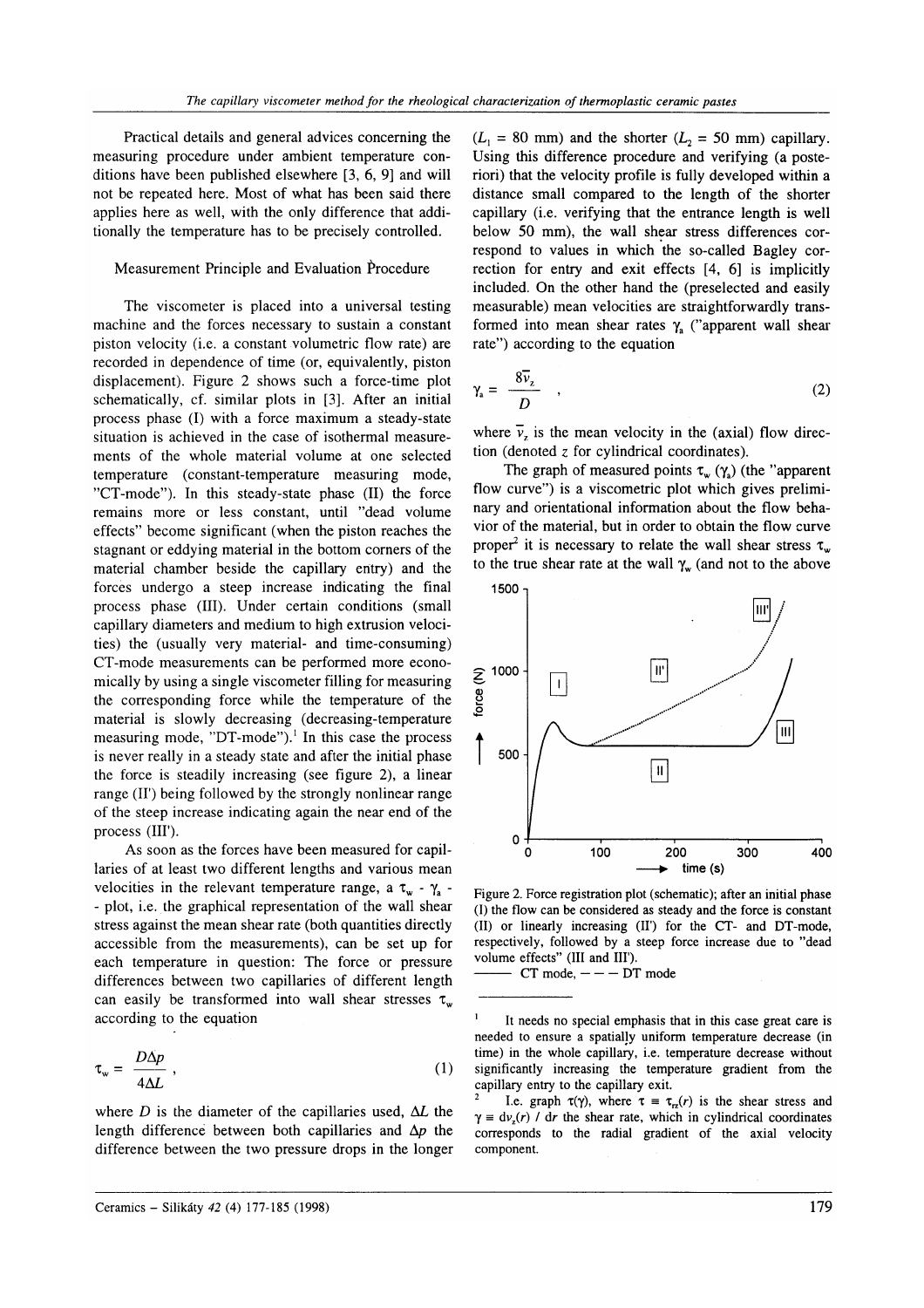Practical details and general advices concerning the measuring procedure under ambient temperature conditions have been published elsewhere [3, 6, 9] and will not be repeated here. Most of what has been said there applies here as well, with the only difference that additionally the temperature has to be precisely controlled.

## Measurement Principle and Evaluation Procedure

The viscometer is placed into a universal testing machine and the forces necessary to sustain a constant piston velocity (i.e. a constant volumetric flow rate) are recorded in dependence of time (or, equivalently, piston displacement). Figure 2 shows such a force-time plot schematically, cf. similar plots in [3]. After an initial process phase (I) with a force maximum a steady-state situation is achieved in the case of isothermal measurements of the whole material volume at one selected temperature (constant-temperature measuring mode, "CT-mode"). In this steady-state phase (II) the force remains more or less constant, until "dead volume effects" become significant (when the piston reaches the stagnant or eddying material in the bottom corners of the material chamber beside the capillary entry) and the forces undergo a steep increase indicating the final process phase (III). Under certain conditions (small capillary diameters and medium to high extrusion velocities) the (usually very material- and time-consuming) CT-mode measurements can be performed more economically by using a single viscometer filling for measuring the corresponding force while the temperature of the material is slowly decreasing (decreasing-temperature measuring mode, "DT-mode").<sup>1</sup> In this case the process is never really in a steady state and after the initial phase the force is steadily increasing (see figure 2), a linear range (II') being followed by the strongly nonlinear range of the steep increase indicating again the near end of the process (III').

As soon as the forces have been measured for capillaries of at least two different lengths and various mean velocities in the relevant temperature range, a  $\tau_w$  -  $\gamma_a$  -- plot, i.e. the graphical representation of the wali shear stress against the mean shear rate (both quantities directly accessible from the measurements), can be set up for each temperature in question: The force or pressure differences between two capillaries of different length can easily be transformed into wall shear stresses  $\tau_{w}$ according to the equation

$$
\tau_{w} = \frac{D\Delta p}{4\Delta L} \,, \tag{1}
$$

where  $D$  is the diameter of the capillaries used,  $\Delta L$  the length difference between both capillaries and  $\Delta p$  the difference between the two pressure drops in the longer  $(L_1 = 80 \text{ mm})$  and the shorter  $(L_2 = 50 \text{ mm})$  capillary. Using this difference procedure and verifying (a posteriori) that the velocity profile is fully developed within a distance small compared to the length of the shorter capillary (i.e. verifying that the entrance length is well below 50 mm), the wall shear stress differences correspond to values in which the so-called Bagley correction for entry and exit effects  $[4, 6]$  is implicitly included. On the other hand the (preselected and easily measurable) mean velocities are straightforwardly transformed into mean shear rates  $\gamma_a$  ("apparent wall shear rate") according to the equation

$$
\gamma_{a} = \frac{8\bar{\nu}_{z}}{D} \quad , \tag{2}
$$

where  $\overline{v}_z$  is the mean velocity in the (axial) flow direction (denoted z for cylindrical coordinates).

The graph of measured points  $\tau_{w}$  ( $\gamma_{a}$ ) (the "apparent flow curve") is a viscometric plot which gives preliminary and orientational information about the flow behavior of the material. but in order to obtain the flow curve proper<sup>2</sup> it is necessary to relate the wall shear stress  $\tau_w$ to the true shear rate at the wall  $\gamma_w$  (and not to the above



Figure 2. Force registration plot (schematic); after an initial phase (l) the flow can be considered as steady and the force is constant (tI) or linearly increasing (II') for the CT- and DT-mode, respectively, followed by a steep force increase due to "dead volume effects" (III and III').

 $CT$  mode,  $---$  DT mode

It needs no special emphasis that in this case great care is needed to ensure a spatially uniform temperature decrease (in time) in the whole capillary, i.e. temperature decrease without significantly increasing the temperature gradient from the

capillary entry to the capillary exit.<br><sup>2</sup> I.e. graph  $\tau(\gamma)$ , where  $\tau = \tau_{rz}(r)$  is the shear stress and  $\gamma \equiv d\nu_r(r)$  / dr the shear rate, which in cylindrical coordinates corresponds to the radial gradient of the axial velocity component.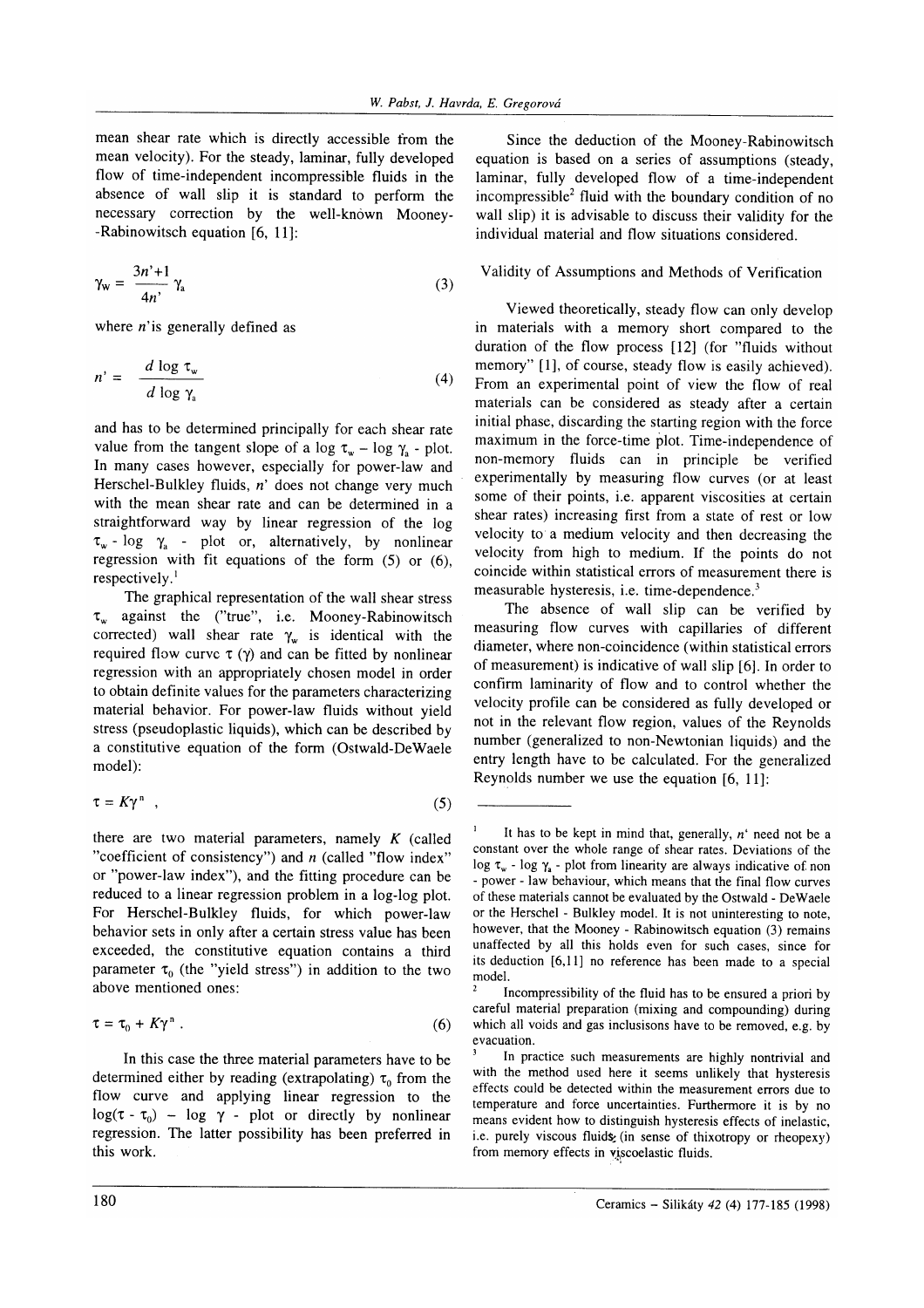mean shear rate which is directly accessible from the mean velocity). For the steady, laminar, fully developed flow of time-independent incompressible fluids in the absence of wall slip it is standard to perform the necessary correction by the well-knówn Mooney- -Rabinowitsch equation [6, 11]:

$$
\gamma_{\rm w} = \frac{3n^2 + 1}{4n^2} \gamma_{\rm a} \tag{3}
$$

where  $n$ 'is generally defined as

$$
n' = \frac{d \log \tau_{w}}{d \log \gamma_{a}}
$$
 (4)

and has to be determined principally for each shear rate value from the tangent slope of a log  $\tau_w$  - log  $\gamma_s$  - plot. In many cases however, especially for power-law and Herschel-Bulkley fluids, n' does not change very much with the mean shear rate and can be determined in <sup>a</sup> straightforward way by linear regression of the log  $\tau_w$  - log  $\gamma_a$  - plot or, alternatively, by nonlinear regression with fit equations of the form (5) or (6), respectively. $<sup>1</sup>$ </sup>

The graphical representation of the wall shear stress  $\tau_w$  against the ("true", i.e. Mooney-Rabinowitsch corrected) wall shear rate  $\gamma_w$  is identical with the required flow curve  $\tau$  ( $\gamma$ ) and can be fitted by nonlinear regression with an appropriately chosen model in order to obtain definite values for the parameters characterizing material behavior. For power-law fluids without yield stress (pseudoplastic liquids), which can be described by a constitutive equation of the form (Ostwald-DeWaele model):

$$
\tau = K\gamma^{n} \quad , \tag{5}
$$

there are two material parameters, namely  $K$  (called "coefficient of consistency") and  $n$  (called "flow index" or "power-law index"), and the fitting procedure can be reduced to a linear regression problem in a log-log plot. For Herschel-Bulkley fluids, for which power-law behavior sets in only after a certain stress value has been exceeded, the constitutive equation contains a third parameter  $\tau_0$  (the "yield stress") in addition to the two above mentioned ones:

$$
\tau = \tau_0 + K\gamma^n \ . \tag{6}
$$

In this case the three material parameters have to be determined either by reading (extrapolating)  $\tau_0$  from the flow curve and applying linear regression to the  $log(\tau - \tau_0)$  –  $log \gamma$  - plot or directly by nonlinear regression. The latter possibility has been preferred in this work.

Since the deduction of the Mooney-Rabinowitsch equation is based on a series of assumptions (steady, laminar, fully developed flow of a time-independent incompressible<sup>2</sup> fluid with the boundary condition of no wall slip) it is advisable to discuss their validity for the individual material and flow situations considered.

# Validity of Assumptions and Methods of Verification

Viewed theoretically, steady flow can only develop in materials with a memory short compared to the duration of the flow process [12] (for "fluids without memory" [1], of course, steady flow is easily achieved). From an experimental point of view the flow of real materials can be considered as steady after a certain initial phase, discarding the starting region with the force maximum in the force-time plot. Time-independence of non-memory fluids can in principle be verified experimentally by measuring flow curves (or at least some of their points, i.e. apparent viscosities at certain shear rates) increasing first from a state of rest or low velocity to a medium velocity and then decreasing the velocity from high to medium. If the points do nor coincide within statistical errors of measurement there is measurable hysteresis, i.e. time-dependence.<sup>3</sup>

The absence of wall slip can be verified by measuring flow curves with capillaries of different diameter, where non-coincidence (within statistical errors of measurement) is indicative of wall slip [6]. In order to confirm laminarity of flow and to control whether the velocity profile can be considered as fully developed or not in the relevant flow region, values of the Reynolds number (generalized to non-Newtonian liquids) and the entry length have to be calculated. For the generalized Reynolds number we use the equation [6, 11]:

It has to be kept in mind that, generally,  $n'$  need not be a constant over the whole range of shear rates. Deviations of the log  $\tau_w$  - log  $\gamma_a$  - plot from linearity are always indicative of non - power - law behaviour, which means that the final flow curves of these materials cannot be evaluated by the Ostwald - DeWaele or the Herschel - Bulkley model. It is not uninteresting to note, however, that the Mooney - Rabinowitsch equation (3) remains unaffected by all this holds even for such cases, since for its deduction [6,11] no reference has been made to a special

Incompressibility of the fluid has to be ensured a priori by careful material preparation (mixing and compounding) during which all voids and gas inclusisons have to be removed, e.g. by

evacuation.<br><sup>3</sup> In practice such measurements are highly nontrivial and with the method used here it seems unlikely that hysteresis effects could be detected within the measurement errors due to temperature and force uncertainties. Furthermore it is by no means evident how to distinguish hysteresis effects of inelastic, i.e. purely viscous fluids (in sense of thixotropy or rheopexy) from memory effects in viscoelastic fluids.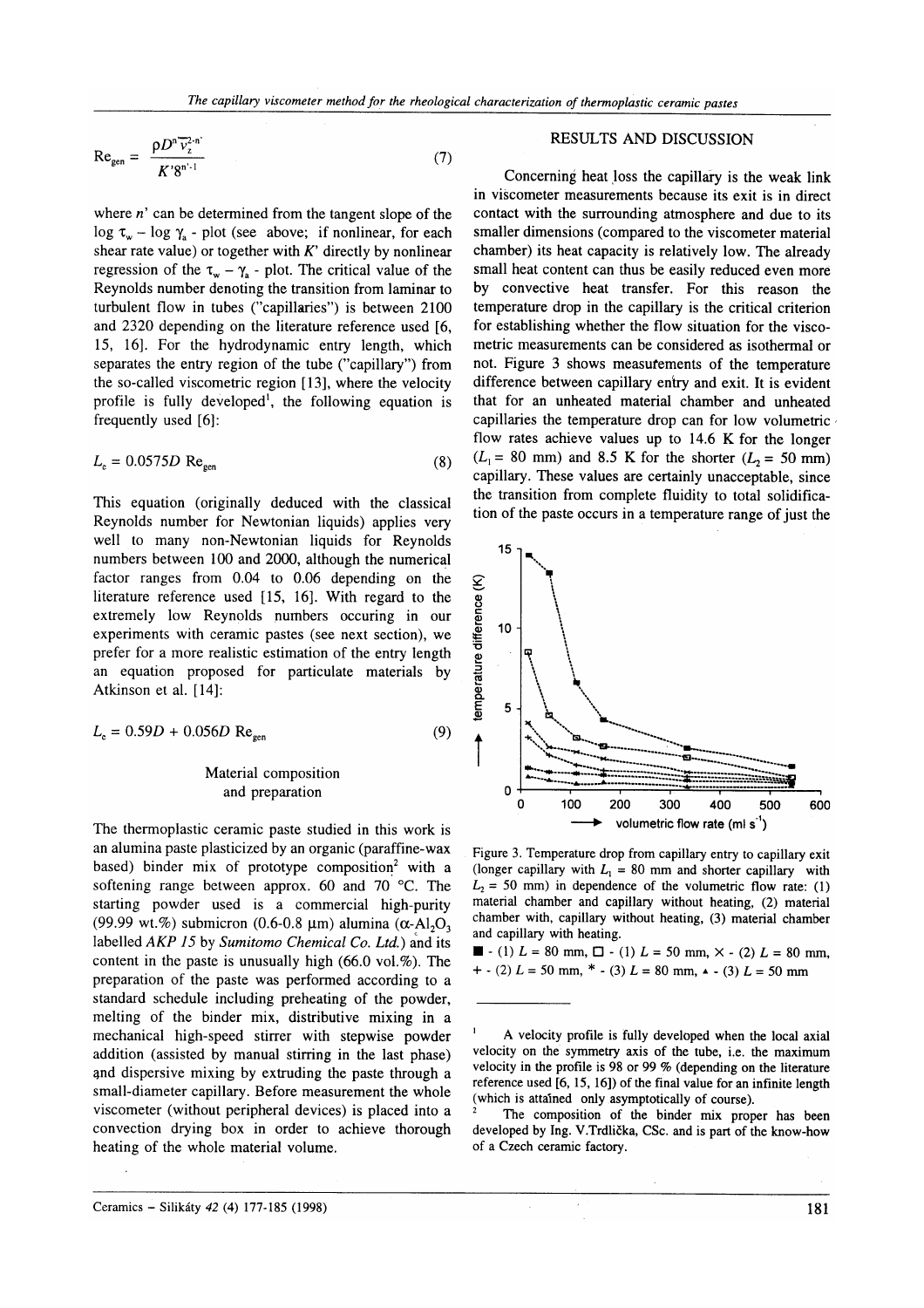$$
Regen = \frac{\rho D^{n} \overline{\nu}_{z}^{2-n}}{K' 8^{n'-1}}
$$
 (7)

where  $n'$  can be determined from the tangent slope of the log  $\tau_w$  - log  $\gamma_a$  - plot (see above; if nonlinear, for each shear rate value) or together with  $K'$  directly by nonlinear regression of the  $\tau_w - \gamma_a$  - plot. The critical value of the Reynolds number denoting the transition from laminar to turbulent flow in tubes ("capillaries") is between  $2100$ and 2320 depending on the literature reference used [6, 15, 16l. For the hydrodynamic entry length, which separates the entry region of the tube ("capillary") from the so-called viscometric region [13], where the velocity profile is fully developed<sup>1</sup>, the following equation is frequently used [6]:

$$
L_{\rm e} = 0.0575D \, \text{Re}_{\rm gen} \tag{8}
$$

This equation (originally deduced with the classical Reynolds number for Newtonian liquids) applies very well to many non-Newtonian liquids for Reynolds numbers between 100 and 2000, although the numerical factor ranges from 0.04 to 0.06 depending on the literature reference used [15, 16]. With regard to the extremely low Reynolds numbers occuring in our experiments with ceramic pastes (see next section), we prefer for a more realistic estimation of the entry length an equation proposed for particulate materials by Atkinson et al. [14]:

$$
L_{\rm e} = 0.59D + 0.056D \text{ Re}_{\rm gen} \tag{9}
$$

# Material composition and preparation

The thermoplastic ceramic paste studied in this work is an alumina paste plasticized by an organic (paraffine-wax based) binder mix of prototype composition<sup>2</sup> with a softening range between approx. 60 and 70 'C. The starting powder used is a commercial high-purity (99.99 wt.%) submicron (0.6-0.8  $\mu$ m) alumina ( $\alpha$ -Al<sub>2</sub>O<sub>3</sub>) labelled AKP 15 by Sumitomo Chemical Co. Ltd.) and its content in the paste is unusually high  $(66.0 \text{ vol.} \%)$ . The preparation of the paste was performed according to a standard schedule including preheating of the powder, melting of the binder mix, distributive mixing in <sup>a</sup> mechanical high-speed stirrer with stepwise powder addition (assisted by manual stirring in the last phase) 4nd dispersive mixing by extruding the paste through a small-diameter capillary. Before measurement the whole viscometer (without peripheral devices) is placed into a convection drying box in order to achieve thorough heating of the whole material volume.

#### RESULTS AND DISCUSSION

Concerning heat loss the capillary is the weak link in višcometer measurements because its exit is in direct contact with the surrounding atmosphere and due to its smaller dimensions (compared to the viscometer material chamber) its heat capacity is relatively low. The already small heat content can thus be easily reduced even more by convective heat transfer. For this reason the temperature drop in the capillary is the critical criterion for establishing whether the flow situation for the viscometric measurements can be considered as isothermal or not. Figure 3 shows measufements of the temperature difference between capillary entry and exit. It is evident that for an unheated material chamber and unheated capillaries the temperature drop can for low volumetric flow rates achieve values up to 14.6 K for the longer  $(L_1 = 80 \text{ mm})$  and 8.5 K for the shorter  $(L_2 = 50 \text{ mm})$ capillary. These values are certainly unacceptable, since the transition from complete fluidity to total solidification of the paste occurs in a temperature range of just the



Figure 3. Temperature drop from capillary entry to capillary exit (longer capillary with  $L_1 = 80$  mm and shorter capillary with  $L<sub>2</sub> = 50$  mm) in dependence of the volumetric flow rate: (1) material chamber and capillary without heating, (2) material chamber with, capillary without heating, (3) material chamber and capillary with heating.

 $\blacksquare$  - (1)  $L = 80$  mm,  $\Box$  - (1)  $L = 50$  mm,  $\times$  - (2)  $L = 80$  mm,  $+$  - (2)  $L = 50$  mm, \* - (3)  $L = 80$  mm,  $\sim$  - (3)  $L = 50$  mm

A velocity profile is fully developed when the local axial velocity on the symmetry axis of the tube, i.e. the maximum velocity in the profile is 98 or 99  $%$  (depending on the literature reference used [6, 15, 16]) of the final value for an infinite length (which is attained only asymptotically of course).<br><sup>2</sup> The composition of the binder mix proper has been

developed by Ing. V.Trdlička, CSc. and is part of the know-how of a Czech ceramic factorv.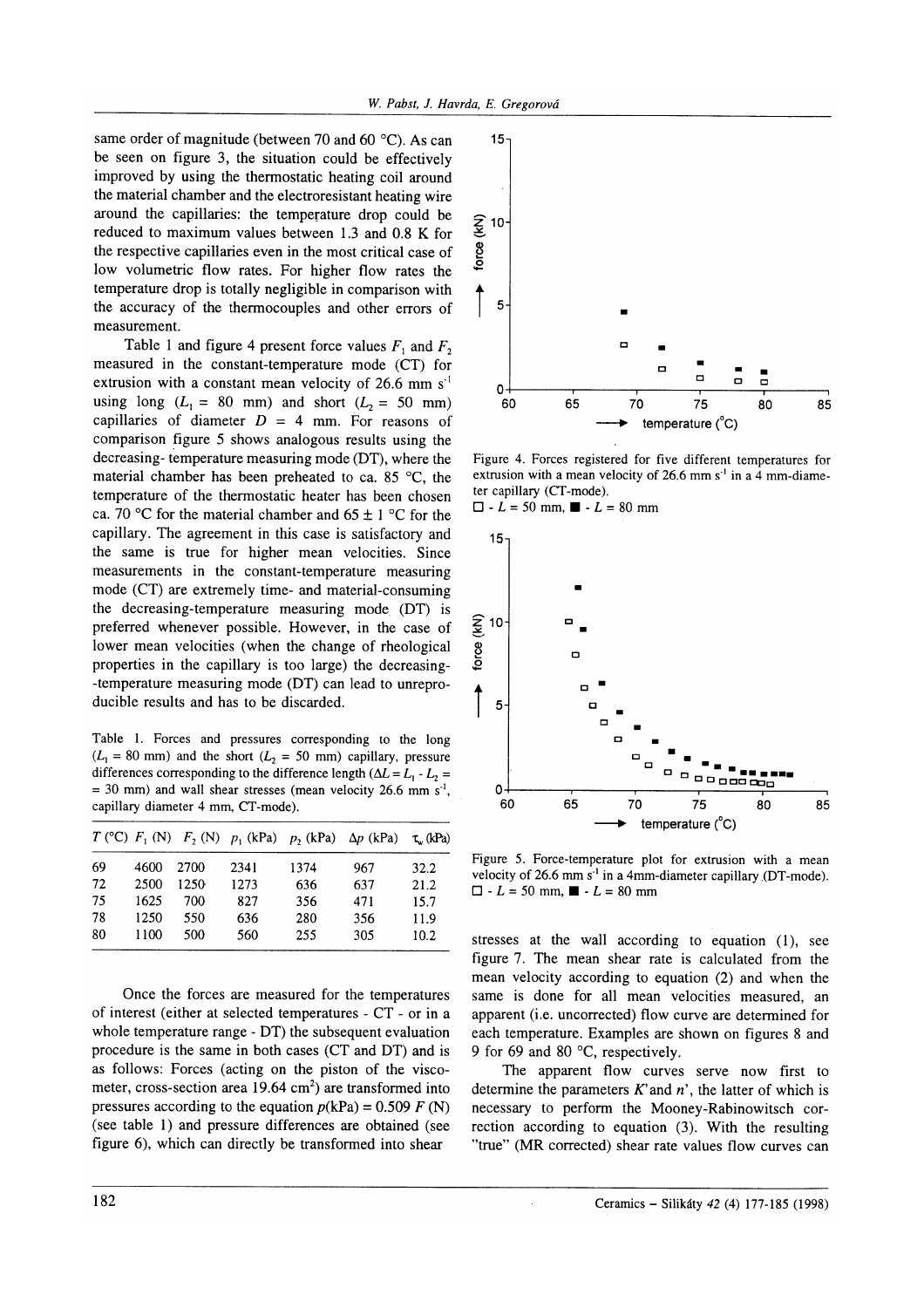same order of magnitude (between 70 and 60  $^{\circ}$ C). As can be seen on figure 3, the situation could be effectively improved by using the thermostatic heating coil around the material chamber and the electroresistant heating wire around the capillaries: the temperature drop could be reduced to maximum values between 1.3 and 0.8 K for the respective capillaries even in the most critical case of low volumetric flow rates. For higher flow rates the temperature drop is totally negligible in comparison with the accuracy of the thermocouples and other errors of measurement.

Table 1 and figure 4 present force values  $F_1$  and  $F_2$ measured in the constant-temperature mode (CT) for extrusion with a constant mean velocity of 26.6 mm  $s^{-1}$ using long  $(L_1 = 80 \text{ mm})$  and short  $(L_2 = 50 \text{ mm})$ capillaries of diameter  $D = 4$  mm. For reasons of comparison figure 5 shows analogous results using the decreasing- temperature measuring mode (DT), where the material chamber has been preheated to ca. 85 $\degree$ C, the temperature of the thermostatic heater has been chosen ca. 70 °C for the material chamber and  $65 \pm 1$  °C for the capillary. The agreement in this case is satisfactory and the same is true for higher mean velocities. Since measurements in the constant-temperature measuring mode (CT) are extremely time- and material-consuming the decreasing-temperature measuring mode (DT) is preferred whenever possible. However, in the case of lower mean velocities (when the change of rheological properties in the capillary is too large) the decreasing- -temperature measuring mode (DT) can lead to unreproducible results and has to be discarded.

Table 1. Forces and pressures corresponding to the long  $(L_1 = 80 \text{ mm})$  and the short  $(L_2 = 50 \text{ mm})$  capillary, pressure differences corresponding to the difference length ( $\Delta L = L_1 - L_2 =$  $= 30$  mm) and wall shear stresses (mean velocity 26.6 mm s<sup>-1</sup>, capillary diameter 4 mm, CT-mode).

|    |      |      |      | $T$ (°C) $F_1$ (N) $F_2$ (N) $p_1$ (kPa) $p_2$ (kPa) $\Delta p$ (kPa) |     | $\tau_w$ (kPa) |
|----|------|------|------|-----------------------------------------------------------------------|-----|----------------|
| 69 | 4600 | 2700 | 2341 | 1374                                                                  | 967 | 32.2           |
| 72 | 2500 | 1250 | 1273 | 636                                                                   | 637 | 21.2           |
| 75 | 1625 | 700  | 827  | 356                                                                   | 471 | 15.7           |
| 78 | 1250 | 550  | 636  | 280                                                                   | 356 | 11.9           |
| 80 | 1100 | 500  | 560  | 255                                                                   | 305 | 10.2           |

Once the forces are measured for the temperatures of interest (either at selected temperatures - CT - or in a whole temperature range - DT) the subsequent evaluation procedure is the same in both cases (CT and DT) and is as follows: Forces (acting on the piston of the viscometer, cross-section area  $19.64 \text{ cm}^2$ ) are transformed into pressures according to the equation  $p(kPa) = 0.509 F(N)$ (see table 1) and pressure differences are obtained (see figure 6), which can directly be transformed into shear



Figure 4. Forces registered for five different temperatures for extrusion with a mean velocity of 26.6 mm  $s<sup>-1</sup>$  in a 4 mm-diameter capillary (CT-mode).

 $\Box$  -  $L = 50$  mm,  $\blacksquare$  -  $L = 80$  mm



Figure 5. Force-temperature plot for extrusion with a mean velocity of 26.6 mm  $s<sup>-1</sup>$  in a 4mm-diameter capillary (DT-mode).  $\Box$  - L = 50 mm,  $\blacksquare$  - L = 80 mm

stresses at the wall according to equation  $(1)$ , see figure 7. The mean shear rate is calculated from the mean velocity according to equation (2) and when the same is done for all mean velocities measured, an apparent (i.e. uncorrected) flow curve are determined for each temperature. Examples are shown on figures 8 and 9 for 69 and 80 °C, respectively.

The apparent flow curves serve now first to determine the parameters  $K'$  and  $n'$ , the latter of which is necessary to perform the Mooney-Rabinowitsch correction according to equation (3). With the resulting "true" (MR comected) shear rate values flow curves can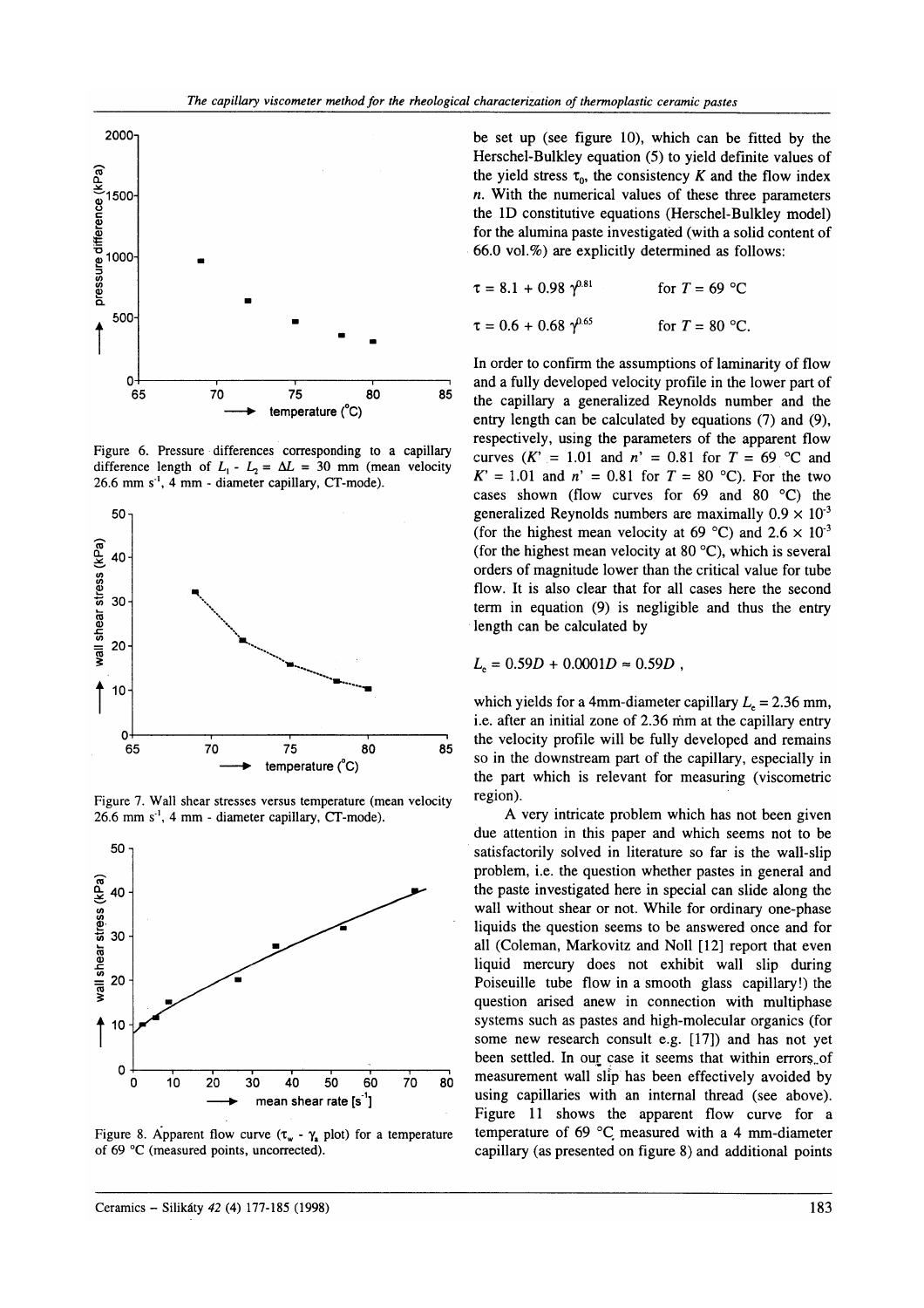

Figure 6. Pressure differences corresponding to a capillary difference length of  $L_1 - L_2 = \Delta L = 30$  mm (mean velocity  $26.6$  mm  $s^{-1}$ , 4 mm - diameter capillary, CT-mode).



Figure 7. Wall shear stresses versus temperature (mean velocity  $26.6$  mm  $s<sup>-1</sup>$ , 4 mm - diameter capillary, CT-mode).



Figure 8. Apparent flow curve  $(\tau_{w} - \gamma_{x})$  plot) for a temperature of 69 °C (measured points, uncorrected).

be set up (see figure 10), which can be fitted by the Herschel-Bulkley equation (5) to yield definite values of the yield stress  $\tau_0$ , the consistency K and the flow index  $n.$  With the numerical values of these three parameters the lD constitutive equations (Herschel-Bulkley model) for the alumina paste investigated (with a solid content of 66.0 vol.%) are explicitly determined as follows:

| $\tau = 8.1 + 0.98 \gamma^{0.81}$ | for $T = 69$ °C  |
|-----------------------------------|------------------|
| $\tau = 0.6 + 0.68 \gamma^{0.65}$ | for $T = 80$ °C. |

In order to confirm the assumptions of laminarity of flow and a fully developed velocity profile in the lower part of the capillary a generalized Reynolds number and the entry length can be calculated by equations (7) and (9), respectively, using the parameters of the apparent flow curves  $(K' = 1.01$  and  $n' = 0.81$  for  $T = 69$  °C and  $K' = 1.01$  and  $n' = 0.81$  for  $T = 80$  °C). For the two cases shown (flow curves for  $69$  and  $80 °C$ ) the generalized Reynolds numbers are maximally  $0.9 \times 10^{-3}$ (for the highest mean velocity at 69 °C) and 2.6  $\times$  10<sup>-3</sup> (for the highest mean velocity at 80 $\degree$ C), which is several orders of magnitude lower than the critical value for tube flow. It is also clear that for all cases here the second term in equation (9) is negligible and thus the entry length can be calculated by

$$
L_{\rm e} = 0.59D + 0.0001D \approx 0.59D,
$$

which yields for a 4mm-diameter capillary  $L<sub>e</sub> = 2.36$  mm, i.e. after an initial zone of 2.36 ňm at the capillary entry the velocity profile will be fully developed and remains so in the downstream part of the capillary, especially in the part which is relevant for measuring (viscometric region).

A very intricate problem which has not been given due attention in this paper and which seems not to be satisfactorily solved in literature so far is the wall-slip problem, i.e. the question whether pastes in general and the paste investigated here in special can slide along the wall without shear or not. While for ordinary one-phase liquids the question seems to be answered once and for all (Coleman, Markovitz and Noll [12] report that even liquid mercury does not exhibit wall slip during Foiseuille tube flow in a smooth glass capillary!) the question arised anew in connection with multiphase systems such as pastes and high-molecular organics (for some new research consult e.g. [17]) and has not yet been settled. In our case it seems that within errors of measurement wall slip has been effectively avoided by using capillaries with an internal thread (see above). Figure 11 shows the apparent flow curve for <sup>a</sup> temperature of 69  $^{\circ}$ C measured with a 4 mm-diameter capillary (as presented on figure 8) and additional points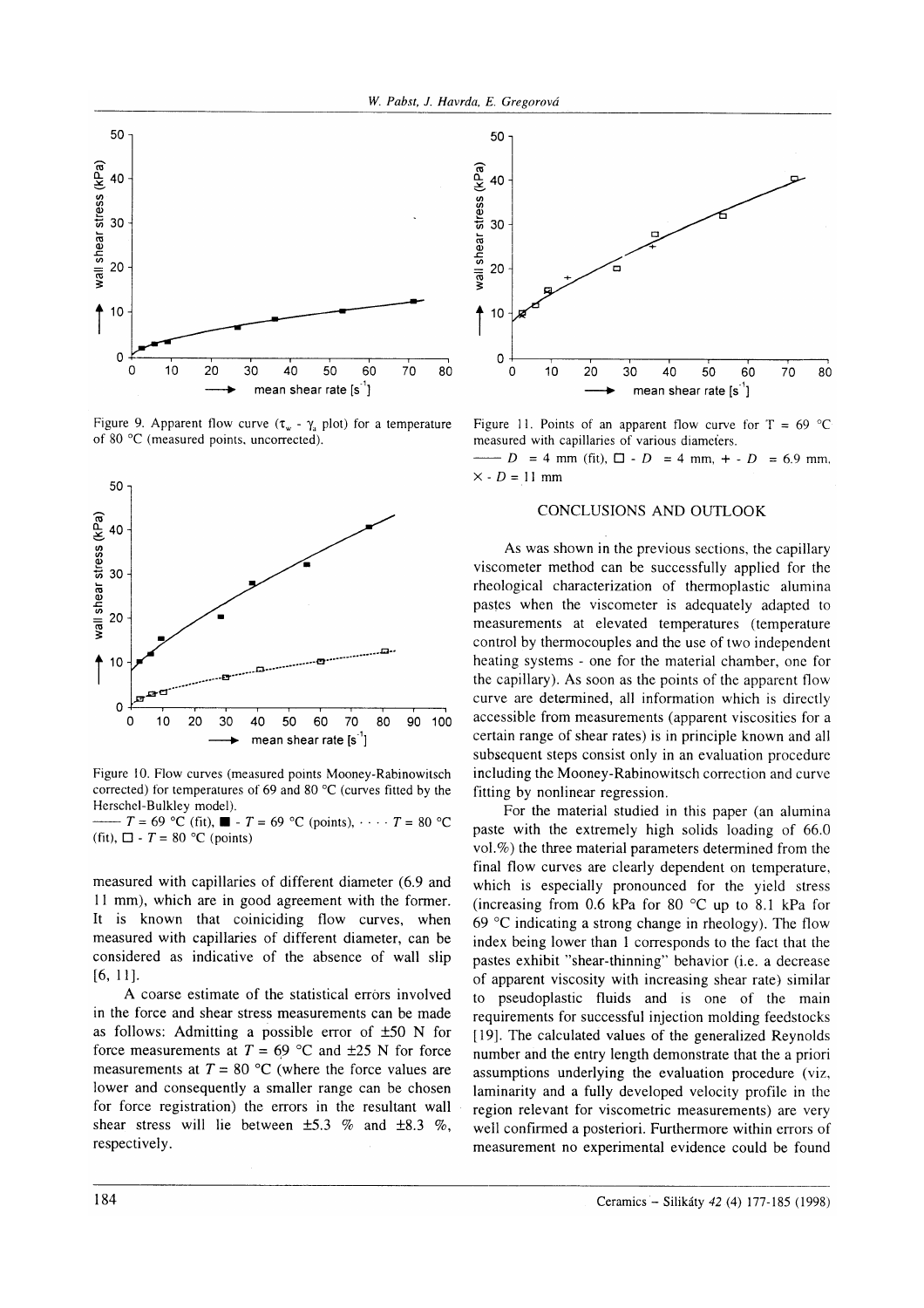

Figure 9. Apparent flow curve  $(\tau_w - \gamma_a)$  plot) for a temperature of 80 "C (measured points. uncorrected).



Figure 10. Flow curves (measured points Mooney-Rabinowitsch corrected) for temperatures of 69 and 80 °C (curves fitted by the Herschel-Bulkley model).

(fit),  $\Box$  -  $T = 80$  °C (points)  $-T = 69 \text{ °C (fit)}$ ,  $\blacksquare$  -  $T = 69 \text{ °C (points)}$ ,  $\cdots$   $T = 80 \text{ °C}$ 

measured with capillaries of different diameter (6.9 and l1 mm), which are in good agreement with the former. It is known that coiniciding flow curves, when measured with capillaries of different diameter, can be considered as indicative of the absence of wall slip  $[6, 11]$ .

A coarse estimate of the statistical errors involved in the force and shear stress measurements can be made as follows: Admitting a possible error of  $\pm 50$  N for force measurements at  $T = 69$  °C and  $\pm 25$  N for force measurements at  $T = 80$  °C (where the force values are lower and consequently a smaller range can be chosen for force registration) the errors in the resultant wall shear stress will lie between  $\pm 5.3$  % and  $\pm 8.3$  %, respectively.



Figure 11. Points of an apparent flow curve for  $T = 69$  °C measured with capillaries of various diameťers.

 $\times$  - D = 11 mm  $-D = 4$  mm (fit),  $\Box$  - D = 4 mm, + - D = 6.9 mm,

# CONCLUSIONS AND OUTLOOK

As was shown in the previous sections, the capillary viscometer method can be successfully applied for the rheological characterization of thermoplastic alumina pastes when the viscometer is adequately adapted to measurements at elevated temperatures (temperature control by thermocouples and the use of two independent heating systems - one for the material chamber, one for the capillary). As soon as the points of the apparent flow curve are determined, all information which is directly accessible from measurements (apparent viscosities for a certain range of shear rates) is in principle known and all subsequent steps consist only in an evaluation procedure including the Mooney-Rabinowitsch correction and curve fitting by nonlinear regression.

For the material studied in this paper (an alumina paste with the extremely high solids loading of 66.0 vol.%) the three material parameters determined from the final flow curves are clearly dependent on temperature, which is especially pronounced for the yield stress (increasing from 0.6 kPa for 80  $^{\circ}$ C up to 8.1 kPa for 69  $\degree$ C indicating a strong change in rheology). The flow index being lower than I corresponds to the fact that the pastes exhibit "shear-thinning" behavior (i.e. a decrease of apparent viscosity with increasing shear rate) similar to pseudoplastic fluids and is one of the main requirements for successful injection molding feedstocks [19]. The calculated values of the generalized Reynolds number and the entry length demonstrate that the a priori assumptions underlying the evaluation procedure (viz, laminarity and a fully developed velocity profile in the region relevant for viscometric measurements) are very well confirmed a posteriori. Furthermore within errors of measurement no experimental evidence could be found